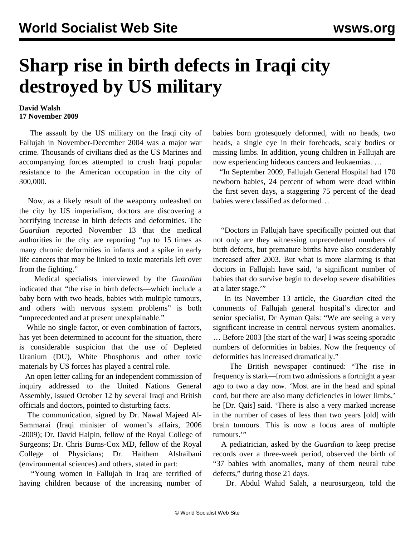## **Sharp rise in birth defects in Iraqi city destroyed by US military**

## **David Walsh 17 November 2009**

 The assault by the US military on the Iraqi city of Fallujah in November-December 2004 was a major war crime. Thousands of civilians died as the US Marines and accompanying forces attempted to crush Iraqi popular resistance to the American occupation in the city of 300,000.

 Now, as a likely result of the weaponry unleashed on the city by US imperialism, doctors are discovering a horrifying increase in birth defects and deformities. The *Guardian* reported November 13 that the medical authorities in the city are reporting "up to 15 times as many chronic deformities in infants and a spike in early life cancers that may be linked to toxic materials left over from the fighting."

 Medical specialists interviewed by the *Guardian* indicated that "the rise in birth defects—which include a baby born with two heads, babies with multiple tumours, and others with nervous system problems" is both "unprecedented and at present unexplainable."

 While no single factor, or even combination of factors, has yet been determined to account for the situation, there is considerable suspicion that the use of Depleted Uranium (DU), White Phosphorus and other toxic materials by US forces has played a central role.

 An open letter calling for an independent commission of inquiry addressed to the United Nations General Assembly, issued October 12 by several Iraqi and British officials and doctors, pointed to disturbing facts.

 The communication, signed by Dr. Nawal Majeed Al-Sammarai (Iraqi minister of women's affairs, 2006 -2009); Dr. David Halpin, fellow of the Royal College of Surgeons; Dr. Chris Burns-Cox MD, fellow of the Royal College of Physicians; Dr. Haithem Alshaibani (environmental sciences) and others, stated in part:

 "Young women in Fallujah in Iraq are terrified of having children because of the increasing number of babies born grotesquely deformed, with no heads, two heads, a single eye in their foreheads, scaly bodies or missing limbs. In addition, young children in Fallujah are now experiencing hideous cancers and leukaemias. …

 "In September 2009, Fallujah General Hospital had 170 newborn babies, 24 percent of whom were dead within the first seven days, a staggering 75 percent of the dead babies were classified as deformed…

 "Doctors in Fallujah have specifically pointed out that not only are they witnessing unprecedented numbers of birth defects, but premature births have also considerably increased after 2003. But what is more alarming is that doctors in Fallujah have said, 'a significant number of babies that do survive begin to develop severe disabilities at a later stage.'"

 In its November 13 article, the *Guardian* cited the comments of Fallujah general hospital's director and senior specialist, Dr Ayman Qais: "We are seeing a very significant increase in central nervous system anomalies. … Before 2003 [the start of the war] I was seeing sporadic numbers of deformities in babies. Now the frequency of deformities has increased dramatically."

 The British newspaper continued: "The rise in frequency is stark—from two admissions a fortnight a year ago to two a day now. 'Most are in the head and spinal cord, but there are also many deficiencies in lower limbs,' he [Dr. Qais] said. 'There is also a very marked increase in the number of cases of less than two years [old] with brain tumours. This is now a focus area of multiple tumours."

 A pediatrician, asked by the *Guardian* to keep precise records over a three-week period, observed the birth of "37 babies with anomalies, many of them neural tube defects," during those 21 days.

Dr. Abdul Wahid Salah, a neurosurgeon, told the